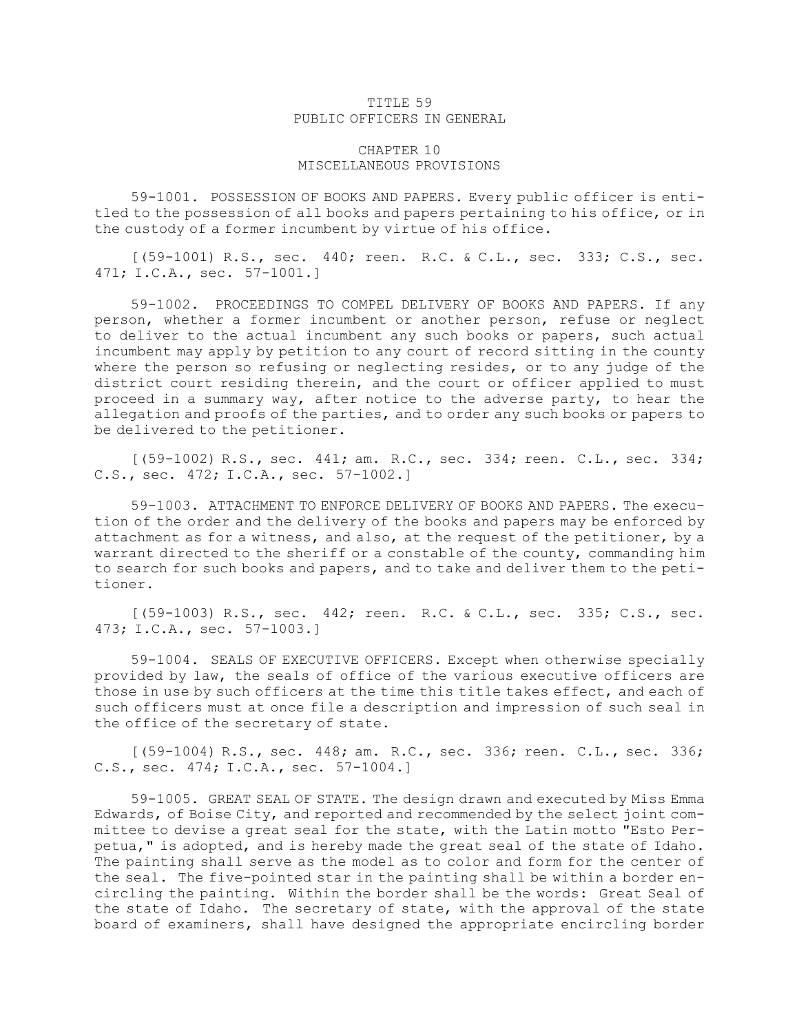## TITLE 59 PUBLIC OFFICERS IN GENERAL

## CHAPTER 10 MISCELLANEOUS PROVISIONS

59-1001. POSSESSION OF BOOKS AND PAPERS. Every public officer is entitled to the possession of all books and papers pertaining to his office, or in the custody of <sup>a</sup> former incumbent by virtue of his office.

[(59-1001) R.S., sec. 440; reen. R.C. & C.L., sec. 333; C.S., sec. 471; I.C.A., sec. 57-1001.]

59-1002. PROCEEDINGS TO COMPEL DELIVERY OF BOOKS AND PAPERS. If any person, whether <sup>a</sup> former incumbent or another person, refuse or neglect to deliver to the actual incumbent any such books or papers, such actual incumbent may apply by petition to any court of record sitting in the county where the person so refusing or neglecting resides, or to any judge of the district court residing therein, and the court or officer applied to must proceed in <sup>a</sup> summary way, after notice to the adverse party, to hear the allegation and proofs of the parties, and to order any such books or papers to be delivered to the petitioner.

[(59-1002) R.S., sec. 441; am. R.C., sec. 334; reen. C.L., sec. 334; C.S., sec. 472; I.C.A., sec. 57-1002.]

59-1003. ATTACHMENT TO ENFORCE DELIVERY OF BOOKS AND PAPERS. The execution of the order and the delivery of the books and papers may be enforced by attachment as for <sup>a</sup> witness, and also, at the request of the petitioner, by <sup>a</sup> warrant directed to the sheriff or <sup>a</sup> constable of the county, commanding him to search for such books and papers, and to take and deliver them to the petitioner.

[(59-1003) R.S., sec. 442; reen. R.C. & C.L., sec. 335; C.S., sec. 473; I.C.A., sec. 57-1003.]

59-1004. SEALS OF EXECUTIVE OFFICERS. Except when otherwise specially provided by law, the seals of office of the various executive officers are those in use by such officers at the time this title takes effect, and each of such officers must at once file <sup>a</sup> description and impression of such seal in the office of the secretary of state.

[(59-1004) R.S., sec. 448; am. R.C., sec. 336; reen. C.L., sec. 336; C.S., sec. 474; I.C.A., sec. 57-1004.]

59-1005. GREAT SEAL OF STATE. The design drawn and executed by Miss Emma Edwards, of Boise City, and reported and recommended by the select joint committee to devise <sup>a</sup> great seal for the state, with the Latin motto "Esto Perpetua," is adopted, and is hereby made the great seal of the state of Idaho. The painting shall serve as the model as to color and form for the center of the seal. The five-pointed star in the painting shall be within <sup>a</sup> border encircling the painting. Within the border shall be the words: Great Seal of the state of Idaho. The secretary of state, with the approval of the state board of examiners, shall have designed the appropriate encircling border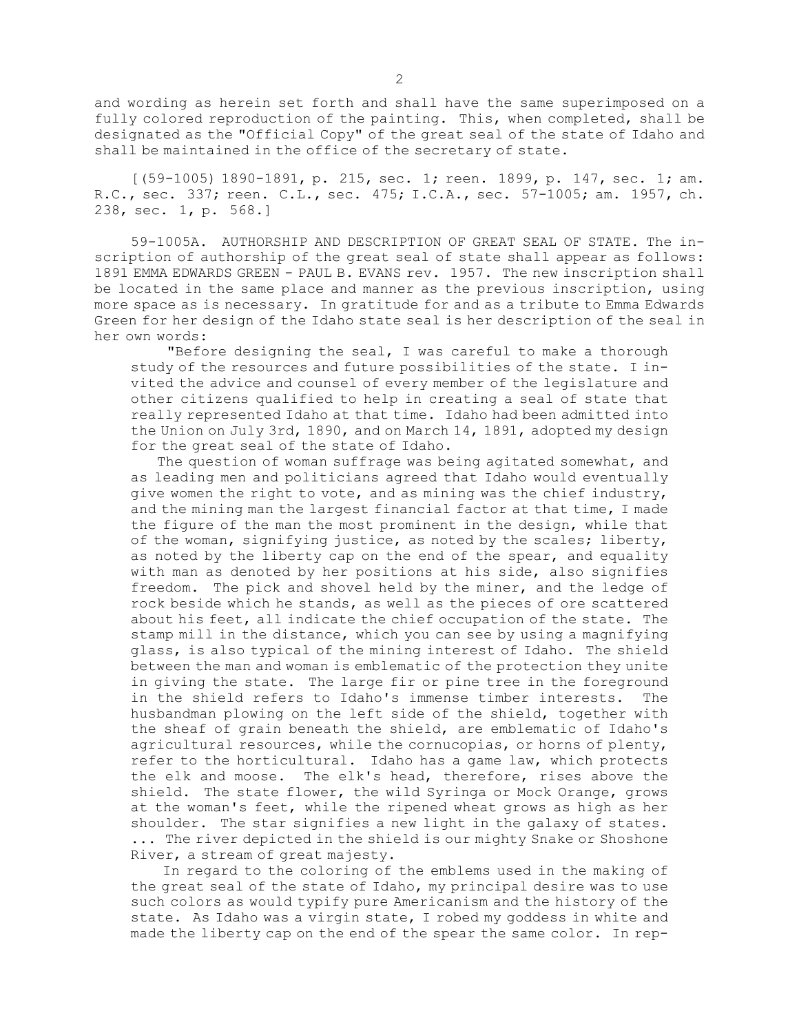and wording as herein set forth and shall have the same superimposed on <sup>a</sup> fully colored reproduction of the painting. This, when completed, shall be designated as the "Official Copy" of the great seal of the state of Idaho and shall be maintained in the office of the secretary of state.

[(59-1005) 1890-1891, p. 215, sec. 1; reen. 1899, p. 147, sec. 1; am. R.C., sec. 337; reen. C.L., sec. 475; I.C.A., sec. 57-1005; am. 1957, ch. 238, sec. 1, p. 568.]

59-1005A. AUTHORSHIP AND DESCRIPTION OF GREAT SEAL OF STATE. The inscription of authorship of the great seal of state shall appear as follows: 1891 EMMA EDWARDS GREEN - PAUL B. EVANS rev. 1957. The new inscription shall be located in the same place and manner as the previous inscription, using more space as is necessary. In gratitude for and as <sup>a</sup> tribute to Emma Edwards Green for her design of the Idaho state seal is her description of the seal in her own words:

"Before designing the seal, <sup>I</sup> was careful to make <sup>a</sup> thorough study of the resources and future possibilities of the state. <sup>I</sup> invited the advice and counsel of every member of the legislature and other citizens qualified to help in creating <sup>a</sup> seal of state that really represented Idaho at that time. Idaho had been admitted into the Union on July 3rd, 1890, and on March 14, 1891, adopted my design for the great seal of the state of Idaho.

The question of woman suffrage was being agitated somewhat, and as leading men and politicians agreed that Idaho would eventually give women the right to vote, and as mining was the chief industry, and the mining man the largest financial factor at that time, <sup>I</sup> made the figure of the man the most prominent in the design, while that of the woman, signifying justice, as noted by the scales; liberty, as noted by the liberty cap on the end of the spear, and equality with man as denoted by her positions at his side, also signifies freedom. The pick and shovel held by the miner, and the ledge of rock beside which he stands, as well as the pieces of ore scattered about his feet, all indicate the chief occupation of the state. The stamp mill in the distance, which you can see by using <sup>a</sup> magnifying glass, is also typical of the mining interest of Idaho. The shield between the man and woman is emblematic of the protection they unite in giving the state. The large fir or pine tree in the foreground in the shield refers to Idaho's immense timber interests. The husbandman plowing on the left side of the shield, together with the sheaf of grain beneath the shield, are emblematic of Idaho's agricultural resources, while the cornucopias, or horns of plenty, refer to the horticultural. Idaho has <sup>a</sup> game law, which protects the elk and moose. The elk's head, therefore, rises above the shield. The state flower, the wild Syringa or Mock Orange, grows at the woman's feet, while the ripened wheat grows as high as her shoulder. The star signifies <sup>a</sup> new light in the galaxy of states. ... The river depicted in the shield is our mighty Snake or Shoshone River, <sup>a</sup> stream of great majesty.

In regard to the coloring of the emblems used in the making of the great seal of the state of Idaho, my principal desire was to use such colors as would typify pure Americanism and the history of the state. As Idaho was <sup>a</sup> virgin state, <sup>I</sup> robed my goddess in white and made the liberty cap on the end of the spear the same color. In rep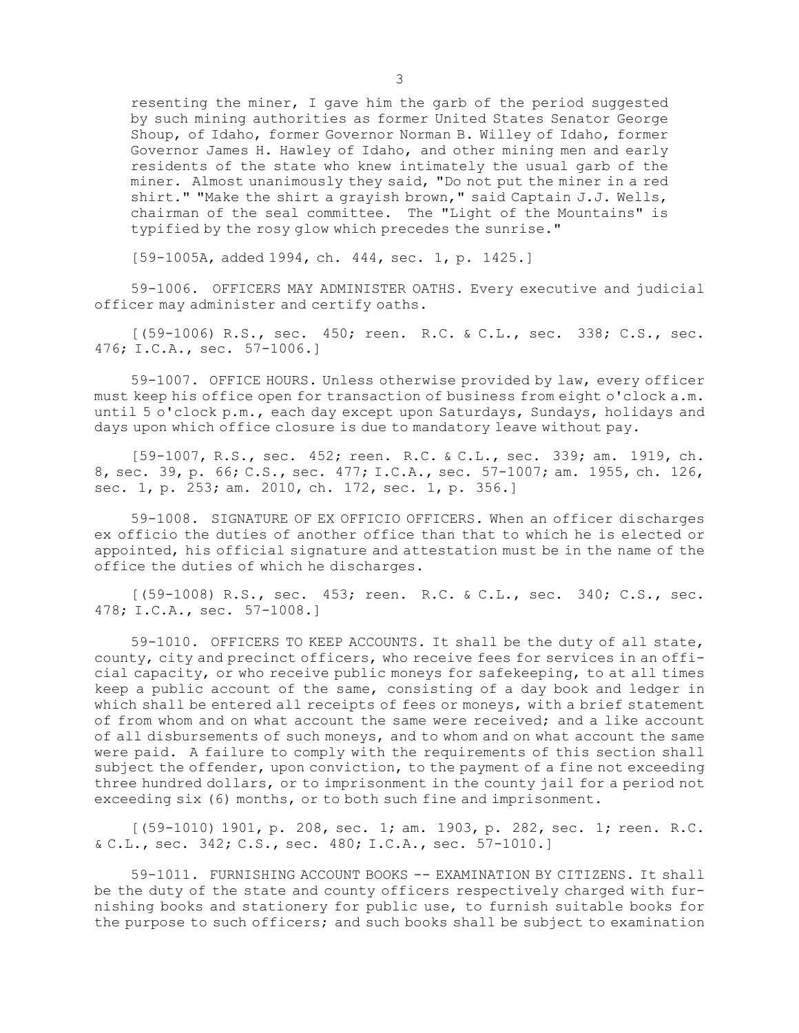resenting the miner, <sup>I</sup> gave him the garb of the period suggested by such mining authorities as former United States Senator George Shoup, of Idaho, former Governor Norman B. Willey of Idaho, former Governor James H. Hawley of Idaho, and other mining men and early residents of the state who knew intimately the usual garb of the miner. Almost unanimously they said, "Do not put the miner in <sup>a</sup> red shirt." "Make the shirt <sup>a</sup> grayish brown," said Captain J.J. Wells, chairman of the seal committee. The "Light of the Mountains" is typified by the rosy glow which precedes the sunrise."

[59-1005A, added 1994, ch. 444, sec. 1, p. 1425.]

59-1006. OFFICERS MAY ADMINISTER OATHS. Every executive and judicial officer may administer and certify oaths.

[(59-1006) R.S., sec. 450; reen. R.C. & C.L., sec. 338; C.S., sec. 476; I.C.A., sec. 57-1006.]

59-1007. OFFICE HOURS. Unless otherwise provided by law, every officer must keep his office open for transaction of business from eight <sup>o</sup>'clock a.m. until 5 <sup>o</sup>'clock p.m., each day except upon Saturdays, Sundays, holidays and days upon which office closure is due to mandatory leave without pay.

[59-1007, R.S., sec. 452; reen. R.C. & C.L., sec. 339; am. 1919, ch. 8, sec. 39, p. 66; C.S., sec. 477; I.C.A., sec. 57-1007; am. 1955, ch. 126, sec. 1, p. 253; am. 2010, ch. 172, sec. 1, p. 356.]

59-1008. SIGNATURE OF EX OFFICIO OFFICERS. When an officer discharges ex officio the duties of another office than that to which he is elected or appointed, his official signature and attestation must be in the name of the office the duties of which he discharges.

[(59-1008) R.S., sec. 453; reen. R.C. & C.L., sec. 340; C.S., sec. 478; I.C.A., sec. 57-1008.]

59-1010. OFFICERS TO KEEP ACCOUNTS. It shall be the duty of all state, county, city and precinct officers, who receive fees for services in an official capacity, or who receive public moneys for safekeeping, to at all times keep <sup>a</sup> public account of the same, consisting of <sup>a</sup> day book and ledger in which shall be entered all receipts of fees or moneys, with a brief statement of from whom and on what account the same were received; and <sup>a</sup> like account of all disbursements of such moneys, and to whom and on what account the same were paid. <sup>A</sup> failure to comply with the requirements of this section shall subject the offender, upon conviction, to the payment of a fine not exceeding three hundred dollars, or to imprisonment in the county jail for <sup>a</sup> period not exceeding six (6) months, or to both such fine and imprisonment.

[(59-1010) 1901, p. 208, sec. 1; am. 1903, p. 282, sec. 1; reen. R.C. & C.L., sec. 342; C.S., sec. 480; I.C.A., sec. 57-1010.]

59-1011. FURNISHING ACCOUNT BOOKS -- EXAMINATION BY CITIZENS. It shall be the duty of the state and county officers respectively charged with furnishing books and stationery for public use, to furnish suitable books for the purpose to such officers; and such books shall be subject to examination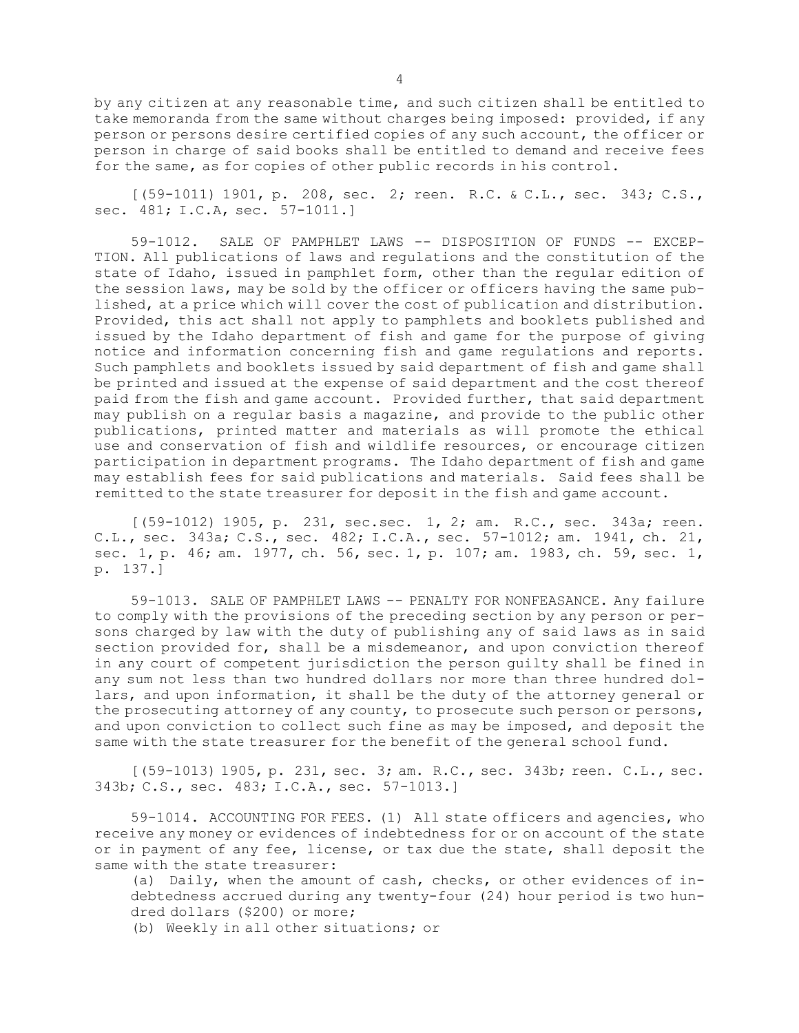by any citizen at any reasonable time, and such citizen shall be entitled to take memoranda from the same without charges being imposed: provided, if any person or persons desire certified copies of any such account, the officer or person in charge of said books shall be entitled to demand and receive fees for the same, as for copies of other public records in his control.

[(59-1011) 1901, p. 208, sec. 2; reen. R.C. & C.L., sec. 343; C.S., sec. 481; I.C.A, sec. 57-1011.]

59-1012. SALE OF PAMPHLET LAWS -- DISPOSITION OF FUNDS -- EXCEP-TION. All publications of laws and regulations and the constitution of the state of Idaho, issued in pamphlet form, other than the regular edition of the session laws, may be sold by the officer or officers having the same published, at <sup>a</sup> price which will cover the cost of publication and distribution. Provided, this act shall not apply to pamphlets and booklets published and issued by the Idaho department of fish and game for the purpose of giving notice and information concerning fish and game regulations and reports. Such pamphlets and booklets issued by said department of fish and game shall be printed and issued at the expense of said department and the cost thereof paid from the fish and game account. Provided further, that said department may publish on <sup>a</sup> regular basis <sup>a</sup> magazine, and provide to the public other publications, printed matter and materials as will promote the ethical use and conservation of fish and wildlife resources, or encourage citizen participation in department programs. The Idaho department of fish and game may establish fees for said publications and materials. Said fees shall be remitted to the state treasurer for deposit in the fish and game account.

[(59-1012) 1905, p. 231, sec.sec. 1, 2; am. R.C., sec. 343a; reen. C.L., sec. 343a; C.S., sec. 482; I.C.A., sec. 57-1012; am. 1941, ch. 21, sec. 1, p. 46; am. 1977, ch. 56, sec. 1, p. 107; am. 1983, ch. 59, sec. 1, p. 137.]

59-1013. SALE OF PAMPHLET LAWS -- PENALTY FOR NONFEASANCE. Any failure to comply with the provisions of the preceding section by any person or persons charged by law with the duty of publishing any of said laws as in said section provided for, shall be <sup>a</sup> misdemeanor, and upon conviction thereof in any court of competent jurisdiction the person guilty shall be fined in any sum not less than two hundred dollars nor more than three hundred dollars, and upon information, it shall be the duty of the attorney general or the prosecuting attorney of any county, to prosecute such person or persons, and upon conviction to collect such fine as may be imposed, and deposit the same with the state treasurer for the benefit of the general school fund.

[(59-1013) 1905, p. 231, sec. 3; am. R.C., sec. 343b; reen. C.L., sec. 343b; C.S., sec. 483; I.C.A., sec. 57-1013.]

59-1014. ACCOUNTING FOR FEES. (1) All state officers and agencies, who receive any money or evidences of indebtedness for or on account of the state or in payment of any fee, license, or tax due the state, shall deposit the same with the state treasurer:

(a) Daily, when the amount of cash, checks, or other evidences of indebtedness accrued during any twenty-four (24) hour period is two hundred dollars (\$200) or more;

(b) Weekly in all other situations; or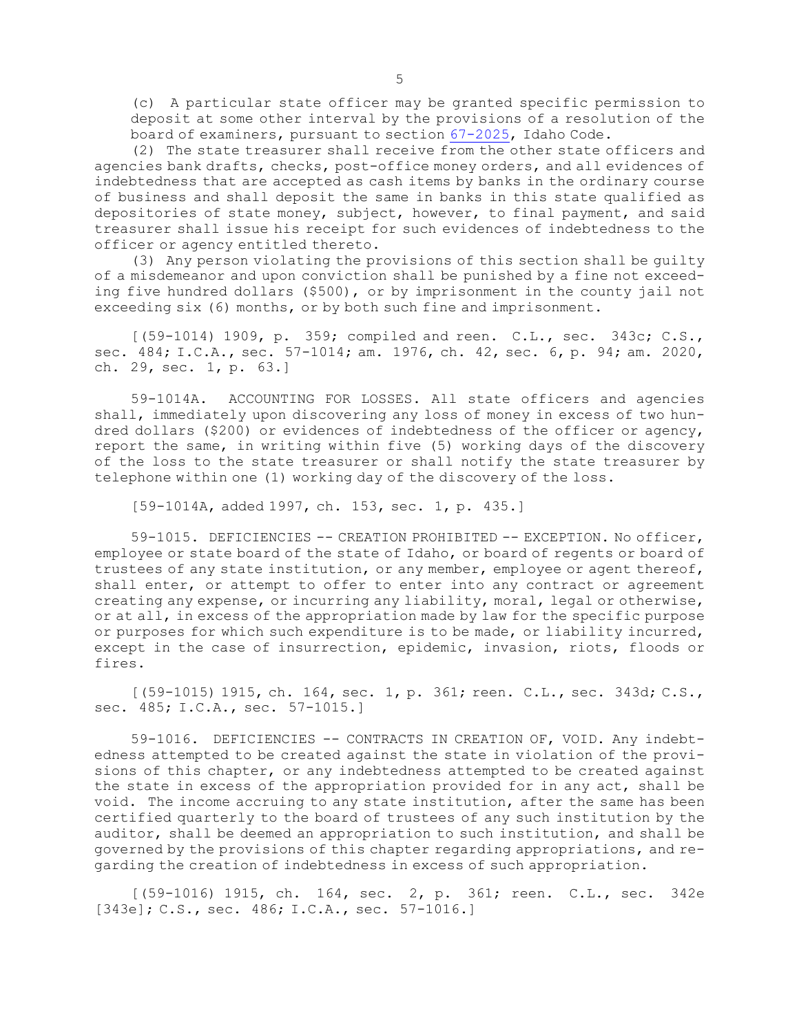(c) <sup>A</sup> particular state officer may be granted specific permission to deposit at some other interval by the provisions of <sup>a</sup> resolution of the board of examiners, pursuant to section [67-2025](https://legislature.idaho.gov/statutesrules/idstat/Title67/T67CH20/SECT67-2025), Idaho Code.

(2) The state treasurer shall receive from the other state officers and agencies bank drafts, checks, post-office money orders, and all evidences of indebtedness that are accepted as cash items by banks in the ordinary course of business and shall deposit the same in banks in this state qualified as depositories of state money, subject, however, to final payment, and said treasurer shall issue his receipt for such evidences of indebtedness to the officer or agency entitled thereto.

(3) Any person violating the provisions of this section shall be guilty of <sup>a</sup> misdemeanor and upon conviction shall be punished by <sup>a</sup> fine not exceeding five hundred dollars (\$500), or by imprisonment in the county jail not exceeding six (6) months, or by both such fine and imprisonment.

[(59-1014) 1909, p. 359; compiled and reen. C.L., sec. 343c; C.S., sec. 484; I.C.A., sec. 57-1014; am. 1976, ch. 42, sec. 6, p. 94; am. 2020, ch. 29, sec. 1, p. 63.]

59-1014A. ACCOUNTING FOR LOSSES. All state officers and agencies shall, immediately upon discovering any loss of money in excess of two hundred dollars (\$200) or evidences of indebtedness of the officer or agency, report the same, in writing within five (5) working days of the discovery of the loss to the state treasurer or shall notify the state treasurer by telephone within one (1) working day of the discovery of the loss.

[59-1014A, added 1997, ch. 153, sec. 1, p. 435.]

59-1015. DEFICIENCIES -- CREATION PROHIBITED -- EXCEPTION. No officer, employee or state board of the state of Idaho, or board of regents or board of trustees of any state institution, or any member, employee or agent thereof, shall enter, or attempt to offer to enter into any contract or agreement creating any expense, or incurring any liability, moral, legal or otherwise, or at all, in excess of the appropriation made by law for the specific purpose or purposes for which such expenditure is to be made, or liability incurred, except in the case of insurrection, epidemic, invasion, riots, floods or fires.

[(59-1015) 1915, ch. 164, sec. 1, p. 361; reen. C.L., sec. 343d; C.S., sec. 485; I.C.A., sec. 57-1015.]

59-1016. DEFICIENCIES -- CONTRACTS IN CREATION OF, VOID. Any indebtedness attempted to be created against the state in violation of the provisions of this chapter, or any indebtedness attempted to be created against the state in excess of the appropriation provided for in any act, shall be void. The income accruing to any state institution, after the same has been certified quarterly to the board of trustees of any such institution by the auditor, shall be deemed an appropriation to such institution, and shall be governed by the provisions of this chapter regarding appropriations, and regarding the creation of indebtedness in excess of such appropriation.

[(59-1016) 1915, ch. 164, sec. 2, p. 361; reen. C.L., sec. 342e [343e]; C.S., sec. 486; I.C.A., sec. 57-1016.]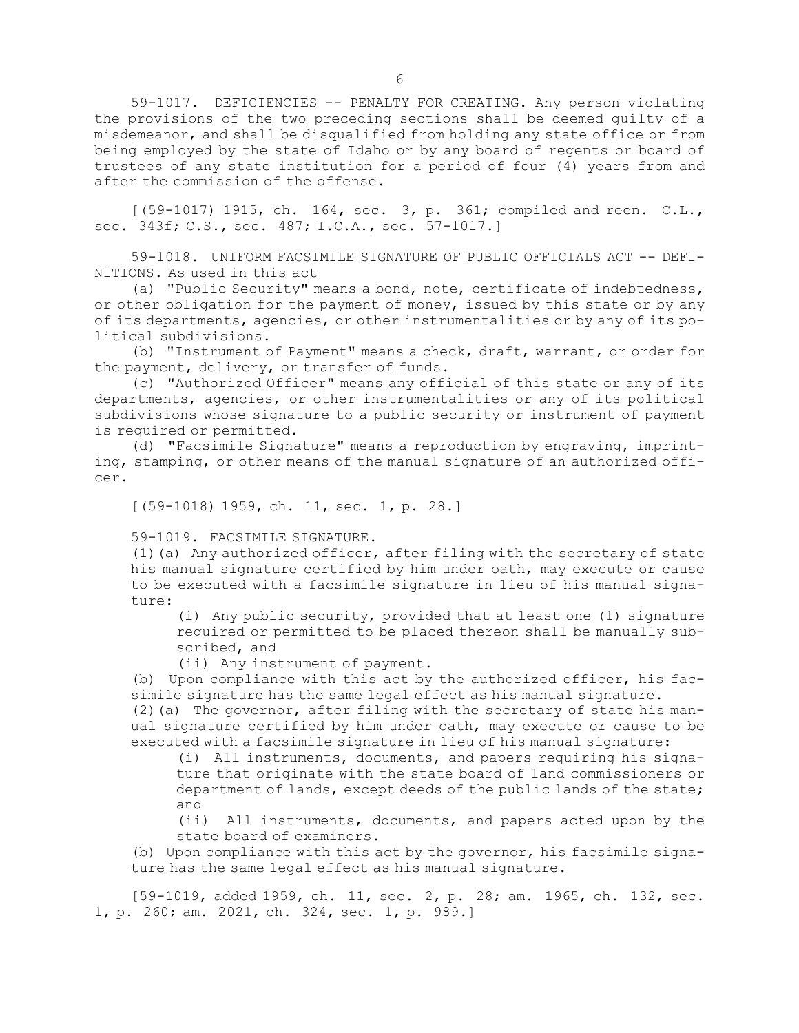59-1017. DEFICIENCIES -- PENALTY FOR CREATING. Any person violating the provisions of the two preceding sections shall be deemed guilty of <sup>a</sup> misdemeanor, and shall be disqualified from holding any state office or from being employed by the state of Idaho or by any board of regents or board of trustees of any state institution for <sup>a</sup> period of four (4) years from and after the commission of the offense.

[(59-1017) 1915, ch. 164, sec. 3, p. 361; compiled and reen. C.L., sec. 343f; C.S., sec. 487; I.C.A., sec. 57-1017.]

59-1018. UNIFORM FACSIMILE SIGNATURE OF PUBLIC OFFICIALS ACT -- DEFI-NITIONS. As used in this act

(a) "Public Security" means <sup>a</sup> bond, note, certificate of indebtedness, or other obligation for the payment of money, issued by this state or by any of its departments, agencies, or other instrumentalities or by any of its political subdivisions.

(b) "Instrument of Payment" means <sup>a</sup> check, draft, warrant, or order for the payment, delivery, or transfer of funds.

(c) "Authorized Officer" means any official of this state or any of its departments, agencies, or other instrumentalities or any of its political subdivisions whose signature to <sup>a</sup> public security or instrument of payment is required or permitted.

(d) "Facsimile Signature" means <sup>a</sup> reproduction by engraving, imprinting, stamping, or other means of the manual signature of an authorized officer.

[(59-1018) 1959, ch. 11, sec. 1, p. 28.]

59-1019. FACSIMILE SIGNATURE.

(1)(a) Any authorized officer, after filing with the secretary of state his manual signature certified by him under oath, may execute or cause to be executed with <sup>a</sup> facsimile signature in lieu of his manual signature:

(i) Any public security, provided that at least one (1) signature required or permitted to be placed thereon shall be manually subscribed, and

(ii) Any instrument of payment.

(b) Upon compliance with this act by the authorized officer, his facsimile signature has the same legal effect as his manual signature.

(2)(a) The governor, after filing with the secretary of state his manual signature certified by him under oath, may execute or cause to be executed with <sup>a</sup> facsimile signature in lieu of his manual signature:

(i) All instruments, documents, and papers requiring his signature that originate with the state board of land commissioners or department of lands, except deeds of the public lands of the state; and

(ii) All instruments, documents, and papers acted upon by the state board of examiners.

(b) Upon compliance with this act by the governor, his facsimile signature has the same legal effect as his manual signature.

[59-1019, added 1959, ch. 11, sec. 2, p. 28; am. 1965, ch. 132, sec. 1, p. 260; am. 2021, ch. 324, sec. 1, p. 989.]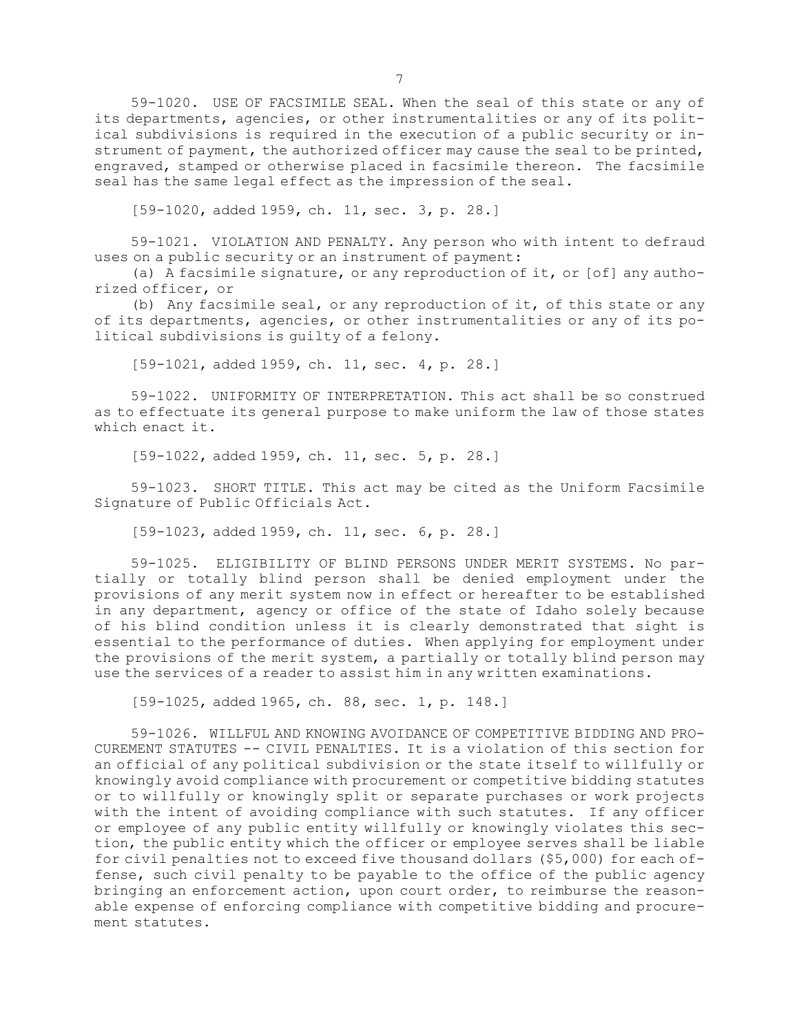59-1020. USE OF FACSIMILE SEAL. When the seal of this state or any of its departments, agencies, or other instrumentalities or any of its political subdivisions is required in the execution of <sup>a</sup> public security or instrument of payment, the authorized officer may cause the seal to be printed, engraved, stamped or otherwise placed in facsimile thereon. The facsimile seal has the same legal effect as the impression of the seal.

[59-1020, added 1959, ch. 11, sec. 3, p. 28.]

59-1021. VIOLATION AND PENALTY. Any person who with intent to defraud uses on <sup>a</sup> public security or an instrument of payment:

(a) <sup>A</sup> facsimile signature, or any reproduction of it, or [of] any authorized officer, or

(b) Any facsimile seal, or any reproduction of it, of this state or any of its departments, agencies, or other instrumentalities or any of its political subdivisions is guilty of <sup>a</sup> felony.

[59-1021, added 1959, ch. 11, sec. 4, p. 28.]

59-1022. UNIFORMITY OF INTERPRETATION. This act shall be so construed as to effectuate its general purpose to make uniform the law of those states which enact it.

[59-1022, added 1959, ch. 11, sec. 5, p. 28.]

59-1023. SHORT TITLE. This act may be cited as the Uniform Facsimile Signature of Public Officials Act.

[59-1023, added 1959, ch. 11, sec. 6, p. 28.]

59-1025. ELIGIBILITY OF BLIND PERSONS UNDER MERIT SYSTEMS. No partially or totally blind person shall be denied employment under the provisions of any merit system now in effect or hereafter to be established in any department, agency or office of the state of Idaho solely because of his blind condition unless it is clearly demonstrated that sight is essential to the performance of duties. When applying for employment under the provisions of the merit system, <sup>a</sup> partially or totally blind person may use the services of <sup>a</sup> reader to assist him in any written examinations.

[59-1025, added 1965, ch. 88, sec. 1, p. 148.]

59-1026. WILLFUL AND KNOWING AVOIDANCE OF COMPETITIVE BIDDING AND PRO-CUREMENT STATUTES -- CIVIL PENALTIES. It is <sup>a</sup> violation of this section for an official of any political subdivision or the state itself to willfully or knowingly avoid compliance with procurement or competitive bidding statutes or to willfully or knowingly split or separate purchases or work projects with the intent of avoiding compliance with such statutes. If any officer or employee of any public entity willfully or knowingly violates this section, the public entity which the officer or employee serves shall be liable for civil penalties not to exceed five thousand dollars (\$5,000) for each offense, such civil penalty to be payable to the office of the public agency bringing an enforcement action, upon court order, to reimburse the reasonable expense of enforcing compliance with competitive bidding and procurement statutes.